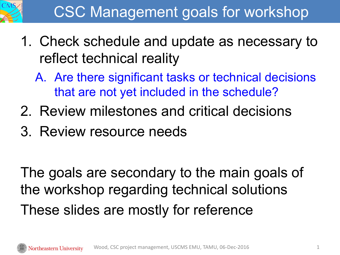

- 1. Check schedule and update as necessary to reflect technical reality
	- A. Are there significant tasks or technical decisions that are not yet included in the schedule?
- 2. Review milestones and critical decisions
- 3. Review resource needs

The goals are secondary to the main goals of the workshop regarding technical solutions These slides are mostly for reference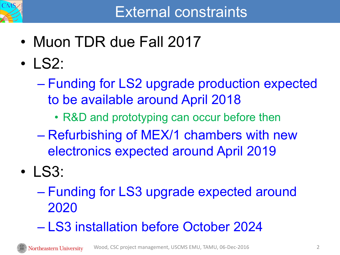

- Muon TDR due Fall 2017
- LS2:
	- Funding for LS2 upgrade production expected to be available around April 2018
		- R&D and prototyping can occur before then
	- Refurbishing of MEX/1 chambers with new electronics expected around April 2019
- LS3:
	- Funding for LS3 upgrade expected around 2020
	- LS3 installation before October 2024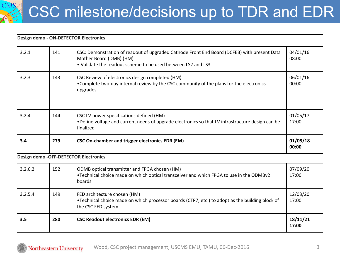## CSC milestone/decisions up to TDR and EDR

|         |     | Design demo - ON-DETECTOR Electronics                                                                                                                                                  |                   |
|---------|-----|----------------------------------------------------------------------------------------------------------------------------------------------------------------------------------------|-------------------|
| 3.2.1   | 141 | CSC: Demonstration of readout of upgraded Cathode Front End Board (DCFEB) with present Data<br>Mother Board (DMB) (HM)<br>• Validate the readout scheme to be used between LS2 and LS3 | 04/01/16<br>08:00 |
| 3.2.3   | 143 | CSC Review of electronics design completed (HM)<br>• Complete two-day internal review by the CSC community of the plans for the electronics<br>upgrades                                | 06/01/16<br>00:00 |
| 3.2.4   | 144 | CSC LV power specifications defined (HM)<br>. Define voltage and current needs of upgrade electronics so that LV infrastructure design can be<br>finalized                             | 01/05/17<br>17:00 |
| 3.4     | 279 | <b>CSC On-chamber and trigger electronics EDR (EM)</b>                                                                                                                                 | 01/05/18<br>00:00 |
|         |     | Design demo - OFF-DETECTOR Electronics                                                                                                                                                 |                   |
| 3.2.6.2 | 152 | ODMB optical transmitter and FPGA chosen (HM)<br>•Technical choice made on which optical transceiver and which FPGA to use in the ODMBv2<br>boards                                     | 07/09/20<br>17:00 |
| 3.2.5.4 | 149 | FED architecture chosen (HM)<br>•Technical choice made on which processor boards (CTP7, etc.) to adopt as the building block of<br>the CSC FED system                                  | 12/03/20<br>17:00 |
| 3.5     | 280 | <b>CSC Readout electronics EDR (EM)</b>                                                                                                                                                | 18/11/21<br>17:00 |

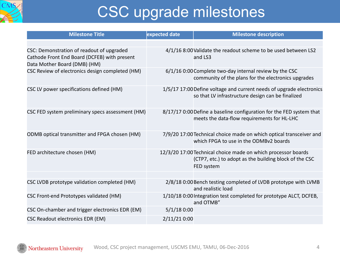

## CSC upgrade milestones

| <b>Milestone Title</b>                                                                                                    | expected date | <b>Milestone description</b>                                                                                                          |
|---------------------------------------------------------------------------------------------------------------------------|---------------|---------------------------------------------------------------------------------------------------------------------------------------|
|                                                                                                                           |               |                                                                                                                                       |
| CSC: Demonstration of readout of upgraded<br>Cathode Front End Board (DCFEB) with present<br>Data Mother Board (DMB) (HM) |               | 4/1/16 8:00 Validate the readout scheme to be used between LS2<br>and LS3                                                             |
| CSC Review of electronics design completed (HM)                                                                           |               | 6/1/16 0:00 Complete two-day internal review by the CSC<br>community of the plans for the electronics upgrades                        |
| CSC LV power specifications defined (HM)                                                                                  |               | 1/5/17 17:00 Define voltage and current needs of upgrade electronics<br>so that LV infrastructure design can be finalized             |
| CSC FED system preliminary specs assessment (HM)                                                                          |               | 8/17/17 0:00 Define a baseline configuration for the FED system that<br>meets the data-flow requirements for HL-LHC                   |
| ODMB optical transmitter and FPGA chosen (HM)                                                                             |               | 7/9/20 17:00 Technical choice made on which optical transceiver and<br>which FPGA to use in the ODMBv2 boards                         |
| FED architecture chosen (HM)                                                                                              |               | 12/3/20 17:00 Technical choice made on which processor boards<br>(CTP7, etc.) to adopt as the building block of the CSC<br>FED system |
|                                                                                                                           |               |                                                                                                                                       |
| CSC LVDB prototype validation completed (HM)                                                                              |               | 2/8/18 0:00 Bench testing completed of LVDB prototype with LVMB<br>and realistic load                                                 |
| CSC Front-end Prototypes validated (HM)                                                                                   |               | 1/10/18 0:00 Integration test completed for prototype ALCT, DCFEB,<br>and OTMB"                                                       |
| CSC On-chamber and trigger electronics EDR (EM)                                                                           | $5/1/18$ 0:00 |                                                                                                                                       |
| <b>CSC Readout electronics EDR (EM)</b>                                                                                   | 2/11/21 0:00  |                                                                                                                                       |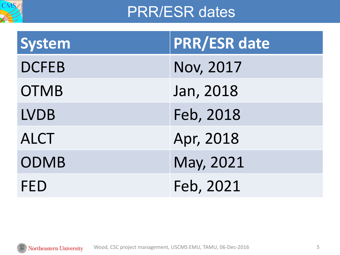

## PRR/ESR dates

| <b>System</b> | <b>PRR/ESR date</b> |
|---------------|---------------------|
| <b>DCFEB</b>  | <b>Nov, 2017</b>    |
| <b>OTMB</b>   | Jan, 2018           |
| <b>LVDB</b>   | Feb, 2018           |
| <b>ALCT</b>   | Apr, 2018           |
| <b>ODMB</b>   | May, 2021           |
| <b>FED</b>    | Feb, 2021           |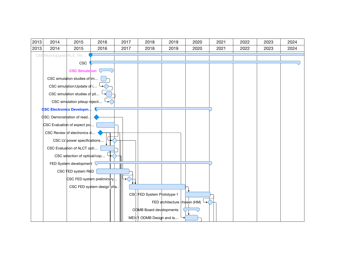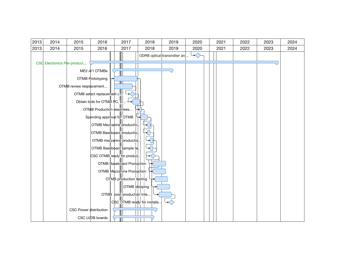| 2013 | 2014                        | 2015                     | 2016                        | 2017                      | 2018                         | 2019                        | 2020 | 2021 | 2022 | 2023 | 2024 |
|------|-----------------------------|--------------------------|-----------------------------|---------------------------|------------------------------|-----------------------------|------|------|------|------|------|
| 2013 | 2014                        | 2015                     | 2016                        | 2017                      | 2018                         | 2019                        | 2020 | 2021 | 2022 | 2023 | 2024 |
|      |                             |                          |                             |                           |                              | ODMB optical transmitter an | ◇    |      |      |      |      |
|      | CSC Electronics Pre-product |                          |                             |                           |                              |                             |      |      |      |      |      |
|      |                             |                          | ME2-4/1 OTMBs               |                           |                              |                             |      |      |      |      |      |
|      |                             |                          | OTMB Prototyping            |                           |                              |                             |      |      |      |      |      |
|      |                             | OTMB review resplacement |                             |                           |                              |                             |      |      |      |      |      |
|      |                             |                          | OTMB select replacement c.  |                           |                              |                             |      |      |      |      |      |
|      |                             |                          | Obtain bids for OTMB PC, p! |                           |                              |                             |      |      |      |      |      |
|      |                             |                          | OTMB Production readiness   |                           |                              |                             |      |      |      |      |      |
|      |                             |                          | Spending approval for OTMB  |                           |                              |                             |      |      |      |      |      |
|      |                             |                          | OTMB Mezzanine productio.   |                           |                              |                             |      |      |      |      |      |
|      |                             |                          | OTMB Baseboard productio.   |                           |                              |                             |      |      |      |      |      |
|      |                             |                          |                             | OTMB mezzanine productio. |                              |                             |      |      |      |      |      |
|      |                             |                          | OTMB Baseboard sample te.   |                           |                              |                             |      |      |      |      |      |
|      |                             |                          | CSC OTMB ready for produc.  |                           |                              |                             |      |      |      |      |      |
|      |                             |                          |                             | OTMB Baseboard Production |                              |                             |      |      |      |      |      |
|      |                             |                          |                             | OTMB Mezzanine Production |                              |                             |      |      |      |      |      |
|      |                             |                          |                             | OTMB production testing   |                              |                             |      |      |      |      |      |
|      |                             |                          |                             | OTMB shipping             |                              |                             |      |      |      |      |      |
|      |                             |                          |                             | OTMB post-production Inte |                              |                             |      |      |      |      |      |
|      |                             |                          |                             |                           | CSC OTMB ready for installa. |                             |      |      |      |      |      |
|      |                             | CSC Power distribution   |                             |                           |                              |                             |      |      |      |      |      |
|      |                             |                          | CSC LVDB boards             |                           |                              |                             |      |      |      |      |      |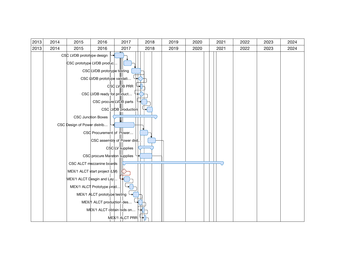| 2013 | 2014 | 2015                        | 2016                          | 2017                | 2018 | 2019 | 2020 | 2021 | 2022 | 2023 | 2024 |
|------|------|-----------------------------|-------------------------------|---------------------|------|------|------|------|------|------|------|
| 2013 | 2014 | 2015                        | 2016                          | 2017                | 2018 | 2019 | 2020 | 2021 | 2022 | 2023 | 2024 |
|      |      | CSC LVDB prototype design   |                               |                     |      |      |      |      |      |      |      |
|      |      |                             | CSC prototype LVDB produc     |                     |      |      |      |      |      |      |      |
|      |      |                             | CSC LVDB prototype testing    |                     |      |      |      |      |      |      |      |
|      |      |                             | CSC LVDB prototype validati   |                     |      |      |      |      |      |      |      |
|      |      |                             |                               | CSC LVDB PRR        |      |      |      |      |      |      |      |
|      |      |                             | CSC LVDB ready for product    |                     |      |      |      |      |      |      |      |
|      |      |                             | CSC procure LVOB parts        |                     |      |      |      |      |      |      |      |
|      |      |                             |                               | CSC LVDB production |      |      |      |      |      |      |      |
|      |      |                             | <b>CSC Junction Boxes</b>     |                     |      |      |      |      |      |      |      |
|      |      | CSC Design of Power distrib |                               |                     |      |      |      |      |      |      |      |
|      |      |                             | CSC Procurement of Power      |                     |      |      |      |      |      |      |      |
|      |      |                             | CSC assembly of Power dist.   |                     |      |      |      |      |      |      |      |
|      |      |                             |                               | $CSC$ LV supplies   |      |      |      |      |      |      |      |
|      |      |                             | CSC procure Maraton supplies  |                     |      |      |      |      |      |      |      |
|      |      |                             | CSC ALCT mezzanine boards     |                     |      |      |      |      |      |      |      |
|      |      |                             | MEX/1 ALCT start project (LM) |                     |      |      |      |      |      |      |      |
|      |      |                             | MEX/1 ALCT Desgin and Lay     |                     |      |      |      |      |      |      |      |
|      |      |                             | MEX/1 ALCT Prototype prod     |                     |      |      |      |      |      |      |      |
|      |      |                             | MEX/1 ALCT prototype testing  |                     |      |      |      |      |      |      |      |
|      |      |                             | MEX/1 ALCT production des     |                     |      |      |      |      |      |      |      |
|      |      |                             | MEX/1 ALCT obtain bids on     |                     |      |      |      |      |      |      |      |
|      |      |                             |                               | MEX/1 ALCT PRR      |      |      |      |      |      |      |      |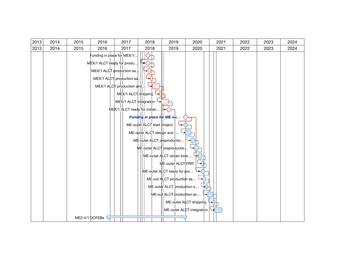| 2013 | 2014 | 2015 | 2016                                                     | 2017                                                                                                                                                                  | 2018                                                                                                   | 2019                                                                                                                                                                  | 2020                                                | 2021 | 2022 | 2023 | 2024 |
|------|------|------|----------------------------------------------------------|-----------------------------------------------------------------------------------------------------------------------------------------------------------------------|--------------------------------------------------------------------------------------------------------|-----------------------------------------------------------------------------------------------------------------------------------------------------------------------|-----------------------------------------------------|------|------|------|------|
| 2013 | 2014 | 2015 | 2016                                                     | 2017                                                                                                                                                                  | 2018                                                                                                   | 2019                                                                                                                                                                  | 2020                                                | 2021 | 2022 | 2023 | 2024 |
|      |      |      | Funding in place for MEX/1<br>MEX/1 ALCT ready for produ | MEX/1 ALCT production sa.<br>MEX/1 ALCT production sa.<br>MEX/1 ALCT production and.<br>MEX/1 ALCT shipping<br>MEX/1 ALCT integration<br>MEX/1 ALCT ready for install | Funding in place for ME-ou<br>ME-outer ALCT start project.                                             |                                                                                                                                                                       |                                                     |      |      |      |      |
|      |      |      | ME2-4/1 DCFEBs $\heartsuit$                              |                                                                                                                                                                       | ME-outer ALCT design and [<br>ME-outer ALCT preproductio<br>ME-outer ALCT preproductio<br>$\mathbf{H}$ | ME-outer ALCT obtain bids<br>ME-outer ALCT PRR<br>ME-outer ALCT ready for pro<br>ME-out ALCT production sa<br>ME-outer ALCT production s<br>ME-out ALCT production an | ME-outer ALCT shipping<br>ME-outer ALCT integration |      |      |      |      |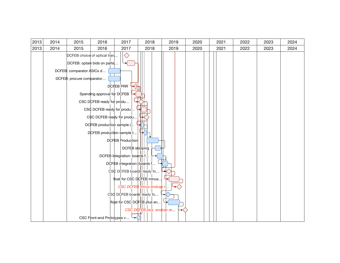| 2013 | 2014 | 2015                      | 2016                         | 2017                         | 2018                        | 2019 | 2020 | 2021 | 2022 | 2023 | 2024 |
|------|------|---------------------------|------------------------------|------------------------------|-----------------------------|------|------|------|------|------|------|
| 2013 | 2014 | 2015                      | 2016                         | 2017                         | 2018                        | 2019 | 2020 | 2021 | 2022 | 2023 | 2024 |
|      |      |                           | DCFEB choice of optical tran |                              |                             |      |      |      |      |      |      |
|      |      |                           | DCFEB: optain bids on parts  |                              |                             |      |      |      |      |      |      |
|      |      | DCFEB: comparator ASICs d |                              |                              |                             |      |      |      |      |      |      |
|      |      | DCFEB: procure comparator |                              |                              |                             |      |      |      |      |      |      |
|      |      |                           |                              | DCHEB PRR                    |                             |      |      |      |      |      |      |
|      |      |                           | Spending approval for DCFEB  |                              |                             |      |      |      |      |      |      |
|      |      |                           | CSC DCFEB ready for produ    |                              |                             |      |      |      |      |      |      |
|      |      |                           | CSC DCFEB ready for produ.   |                              |                             |      |      |      |      |      |      |
|      |      |                           | CSC DCFEB ready for produ    |                              |                             |      |      |      |      |      |      |
|      |      |                           | DCFEB production sample (    |                              |                             |      |      |      |      |      |      |
|      |      |                           | DCFEB produciton sample t    |                              |                             |      |      |      |      |      |      |
|      |      |                           |                              | <b>DCFEB Production</b>      |                             |      |      |      |      |      |      |
|      |      |                           |                              | DCFEB shipping               |                             |      |      |      |      |      |      |
|      |      |                           |                              | DCFEB Integration: boards f. |                             |      |      |      |      |      |      |
|      |      |                           |                              | DCFEB integration: boards f  |                             |      |      |      |      |      |      |
|      |      |                           |                              | CSC DCFEB boards ready fo    |                             |      |      |      |      |      |      |
|      |      |                           |                              |                              | float for CSC DCFEB minus   |      |      |      |      |      |      |
|      |      |                           |                              |                              | CSC DCFEB minus endcap r    |      |      |      |      |      |      |
|      |      |                           |                              | CSC DCFEB boards ready fo    |                             |      |      |      |      |      |      |
|      |      |                           |                              |                              | float for CSC DCFEB plus en |      |      |      |      |      |      |
|      |      |                           |                              |                              | CSC DOFEB plus endcap re    |      |      |      |      |      |      |
|      |      |                           | CSC Front-end Prototypes v   |                              |                             |      |      |      |      |      |      |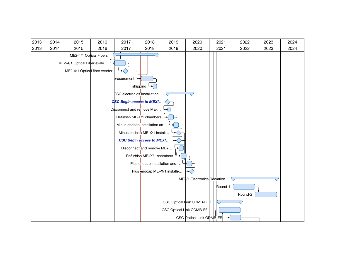| 2013 | 2014 | 2015                                                               | 2016                          | 2017                      | 2018                                                     | 2019 | 2020                                    | 2021    | 2022    | 2023 | 2024 |
|------|------|--------------------------------------------------------------------|-------------------------------|---------------------------|----------------------------------------------------------|------|-----------------------------------------|---------|---------|------|------|
| 2013 | 2014 | 2015                                                               | 2016                          | 2017                      | 2018                                                     | 2019 | 2020                                    | 2021    | 2022    | 2023 | 2024 |
|      |      | ME2-4/1 Optical Fibers<br>ME2 <sup>1</sup> 4/1 Optical Fiber evalu | ME2-4/1 Optical fiber vendor. | procurement               | <del>.</del>                                             |      |                                         |         |         |      |      |
|      |      |                                                                    |                               |                           | shipping<br>CSC electronids installation                 |      |                                         |         |         |      |      |
|      |      |                                                                    |                               |                           | CSC Begin access to MEX/                                 |      |                                         |         |         |      |      |
|      |      |                                                                    |                               | Disconnect and remove ME- |                                                          |      |                                         |         |         |      |      |
|      |      |                                                                    |                               |                           | Refubish ME-X/1 chambers<br>Minus endcap installation an |      |                                         |         |         |      |      |
|      |      |                                                                    |                               |                           | Minus endcap ME-X/1 install                              |      |                                         |         |         |      |      |
|      |      |                                                                    |                               |                           | <b>CSC Begin access to MEX/</b>                          |      |                                         |         |         |      |      |
|      |      |                                                                    |                               |                           | Disconnect and remove ME+                                |      |                                         |         |         |      |      |
|      |      |                                                                    |                               |                           | Refurbish ME+X/1 chambers                                |      |                                         |         |         |      |      |
|      |      |                                                                    |                               |                           | Plus endcap installation and                             |      |                                         |         |         |      |      |
|      |      |                                                                    |                               |                           | Plus endcap ME+X/1 installe                              |      |                                         |         |         |      |      |
|      |      |                                                                    |                               |                           |                                                          |      | MEX/1 Electronics Radiation             |         |         |      |      |
|      |      |                                                                    |                               |                           |                                                          |      |                                         | Round-1 |         |      |      |
|      |      |                                                                    |                               |                           |                                                          |      |                                         |         | Round-2 |      |      |
|      |      |                                                                    |                               |                           |                                                          |      | $CSC$ Optical $\downarrow$ ink ODMB-FED |         |         |      |      |
|      |      |                                                                    |                               |                           |                                                          |      | CSC Optical Link ODMB-FE.               |         |         |      |      |
|      |      |                                                                    |                               |                           |                                                          |      | CSC Optical Link ODMB-FE                |         |         |      |      |